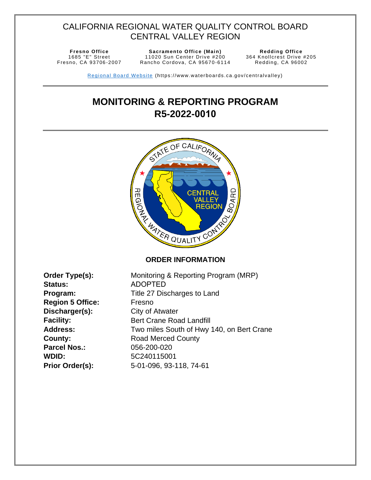## CALIFORNIA REGIONAL WATER QUALITY CONTROL BOARD CENTRAL VALLEY REGION

1685 "E" Street Fresno, CA 93706 -2007

**Fresno Office Sacramento Office (Main) Redding Office**  11020 Sun Center Drive #200 Rancho Cordova, CA 95670-6114

364 Knollcrest Drive #205 Redding, CA 96002

Regional Board Website (https://www.waterboards.ca.gov/centralvalley)

# <span id="page-0-2"></span>**MONITORING & REPORTING PROGRAM R5-2022-0010**



| Order Type(s):          |
|-------------------------|
| <b>Status:</b>          |
| Program:                |
| <b>Region 5 Office:</b> |
| Discharger(s):          |
| <b>Facility:</b>        |
| <b>Address:</b>         |
| <b>County:</b>          |
| <b>Parcel Nos.:</b>     |
| <b>WDID:</b>            |
| Prior Order(s):         |

<span id="page-0-3"></span><span id="page-0-1"></span><span id="page-0-0"></span>Monitoring & Reporting Program (MRP) **Status:** ADOPTED **Program:** Title 27 Discharges to Land **Region 5 Office:** Fresno **City of Atwater Bert Crane Road Landfill** Two miles South of Hwy 140, on Bert Crane **County:** Road Merced County **Parcel Nos.:** 056-200-020 **WDID:** 5C240115001 **Prior Order(s):** 5-01-096, 93-118, 74-61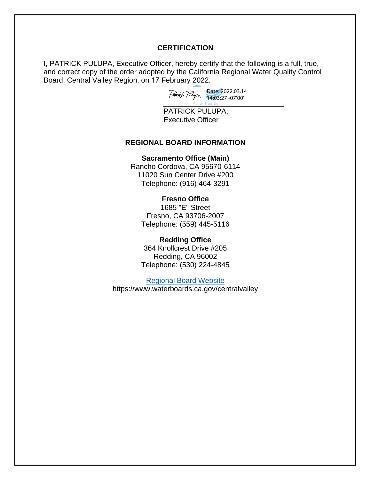#### **CERTIFICATION**

I, PATRICK PULUPA, Executive Officer, hereby certify that the following is a full, true, and correct copy of the order adopted by the California Regional Water Quality Control Board, Central Valley Region, on 17 February 2022.

Date: 2022.03.14 14:03:27 -07'00'

PATRICK PULUPA, Executive Officer

#### **REGIONAL BOARD INFORMATION**

#### **Sacramento Office (Main)**

Rancho Cordova, CA 95670-6114 11020 Sun Center Drive #200 Telephone: (916) 464-3291

#### **Fresno Office**

1685 "E" Street Fresno, CA 93706-2007 Telephone: (559) 445-5116

#### **Redding Office**

364 Knollcrest Drive #205 Redding, CA 96002 Telephone: (530) 224-4845

[Regional Board Website](https://www.waterboards.ca.gov/centralvalley/) https://www.waterboards.ca.gov/centralvalley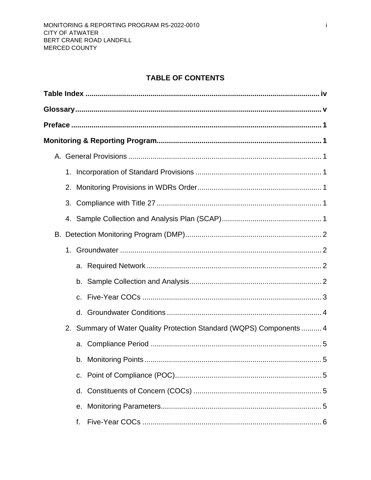## **TABLE OF CONTENTS**

| 1. |                                                                      |  |
|----|----------------------------------------------------------------------|--|
| 2. |                                                                      |  |
|    |                                                                      |  |
|    |                                                                      |  |
|    |                                                                      |  |
|    |                                                                      |  |
|    |                                                                      |  |
|    |                                                                      |  |
|    |                                                                      |  |
|    |                                                                      |  |
|    | 2. Summary of Water Quality Protection Standard (WQPS) Components  4 |  |
|    |                                                                      |  |
|    | 5                                                                    |  |
|    |                                                                      |  |
|    |                                                                      |  |
|    |                                                                      |  |
|    | f.                                                                   |  |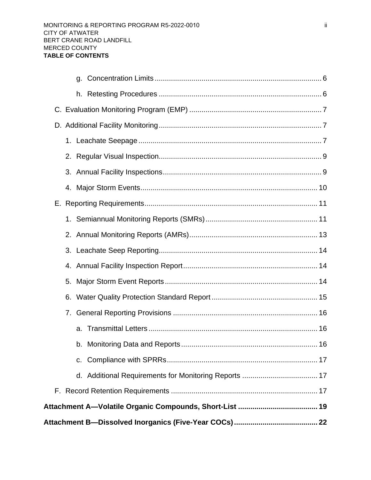| C. |  |
|----|--|
|    |  |
| a. |  |
|    |  |
| 6. |  |
| 5. |  |
|    |  |
|    |  |
|    |  |
|    |  |
|    |  |
|    |  |
|    |  |
|    |  |
|    |  |
|    |  |
|    |  |
|    |  |
|    |  |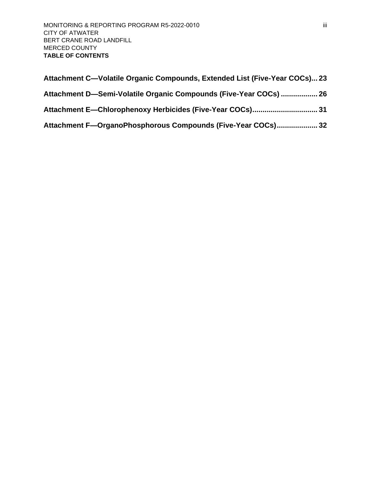| Attachment C—Volatile Organic Compounds, Extended List (Five-Year COCs) 23 |  |
|----------------------------------------------------------------------------|--|
| Attachment D-Semi-Volatile Organic Compounds (Five-Year COCs)  26          |  |
|                                                                            |  |
| Attachment F-OrganoPhosphorous Compounds (Five-Year COCs) 32               |  |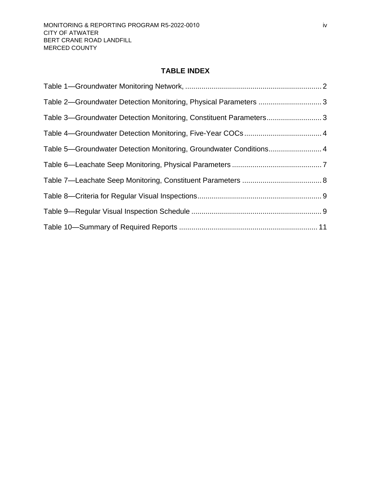## **TABLE INDEX**

<span id="page-5-0"></span>

| Table 2-Groundwater Detection Monitoring, Physical Parameters  3   |  |
|--------------------------------------------------------------------|--|
| Table 3-Groundwater Detection Monitoring, Constituent Parameters 3 |  |
|                                                                    |  |
| Table 5-Groundwater Detection Monitoring, Groundwater Conditions 4 |  |
|                                                                    |  |
|                                                                    |  |
|                                                                    |  |
|                                                                    |  |
|                                                                    |  |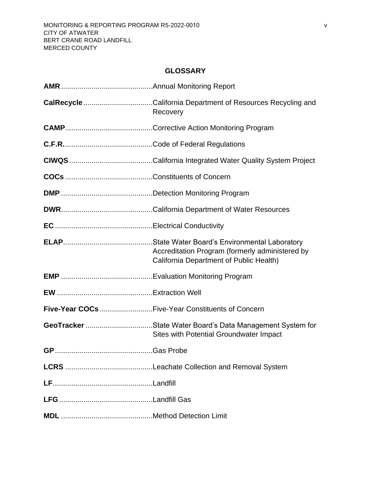## **GLOSSARY**

<span id="page-6-0"></span>

| Recovery                                                                                             |
|------------------------------------------------------------------------------------------------------|
|                                                                                                      |
|                                                                                                      |
|                                                                                                      |
|                                                                                                      |
|                                                                                                      |
|                                                                                                      |
|                                                                                                      |
| Accreditation Program (formerly administered by<br>California Department of Public Health)           |
|                                                                                                      |
|                                                                                                      |
| Five-Year COCs Five-Year Constituents of Concern                                                     |
| GeoTracker State Water Board's Data Management System for<br>Sites with Potential Groundwater Impact |
|                                                                                                      |
|                                                                                                      |
|                                                                                                      |
|                                                                                                      |
|                                                                                                      |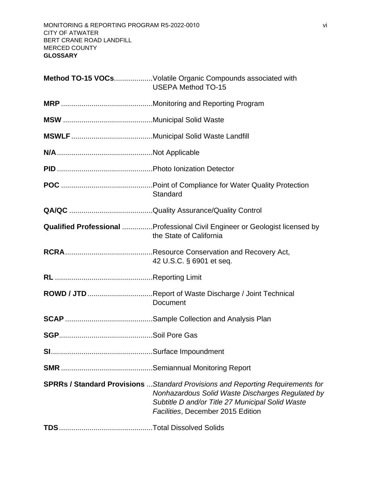| Method TO-15 VOCsVolatile Organic Compounds associated with<br><b>USEPA Method TO-15</b>                                                                                                                                           |
|------------------------------------------------------------------------------------------------------------------------------------------------------------------------------------------------------------------------------------|
|                                                                                                                                                                                                                                    |
|                                                                                                                                                                                                                                    |
|                                                                                                                                                                                                                                    |
|                                                                                                                                                                                                                                    |
|                                                                                                                                                                                                                                    |
| Standard                                                                                                                                                                                                                           |
|                                                                                                                                                                                                                                    |
| <b>Qualified Professional </b> Professional Civil Engineer or Geologist licensed by<br>the State of California                                                                                                                     |
| 42 U.S.C. § 6901 et seq.                                                                                                                                                                                                           |
|                                                                                                                                                                                                                                    |
| ROWD / JTD Report of Waste Discharge / Joint Technical<br>Document                                                                                                                                                                 |
|                                                                                                                                                                                                                                    |
|                                                                                                                                                                                                                                    |
|                                                                                                                                                                                                                                    |
|                                                                                                                                                                                                                                    |
| <b>SPRRs / Standard Provisions</b> Standard Provisions and Reporting Requirements for<br>Nonhazardous Solid Waste Discharges Regulated by<br>Subtitle D and/or Title 27 Municipal Solid Waste<br>Facilities, December 2015 Edition |
|                                                                                                                                                                                                                                    |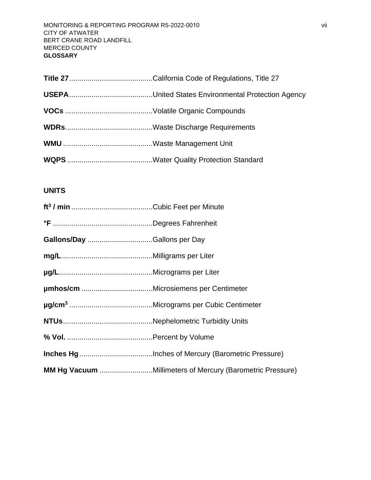## **UNITS**

| MM Hg Vacuum Millimeters of Mercury (Barometric Pressure) |
|-----------------------------------------------------------|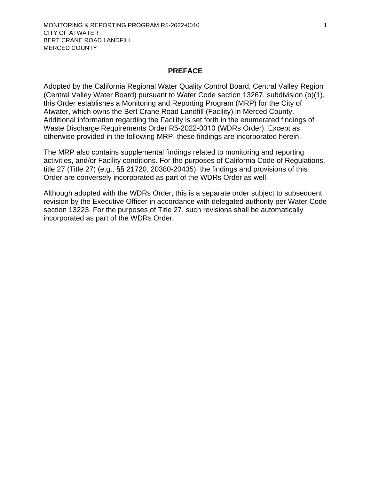#### **PREFACE**

<span id="page-9-0"></span>Adopted by the California Regional Water Quality Control Board, Central Valley Region (Central Valley Water Board) pursuant to Water Code section 13267, subdivision (b)(1), this Order establishes a Monitoring and Reporting Program (MRP) for the City of Atwater, which owns the [Bert Crane Road Landfill](#page-0-0) (Facility) in [Merced County.](#page-0-1)  Additional information regarding the Facility is set forth in the enumerated findings of Waste Discharge Requirements Order [R5-2022-](#page-0-2)0010 (WDRs Order). Except as otherwise provided in the following MRP, these findings are incorporated herein.

The MRP also contains supplemental findings related to monitoring and reporting activities, and/or Facility conditions. For the purposes of California Code of Regulations, title 27 (Title 27) (e.g., §§ 21720, 20380-20435), the findings and provisions of this Order are conversely incorporated as part of the WDRs Order as well.

Although adopted with the WDRs Order, this is a separate order subject to subsequent revision by the Executive Officer in accordance with delegated authority per Water Code section 13223. For the purposes of Title 27, such revisions shall be automatically incorporated as part of the WDRs Order.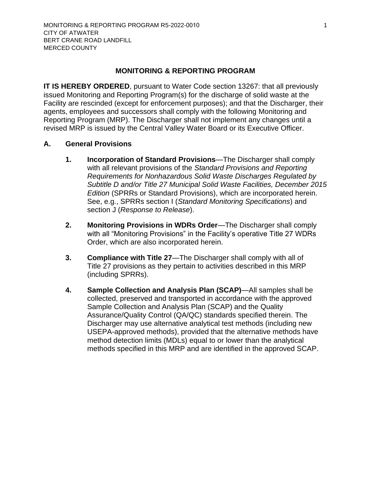#### <span id="page-10-6"></span>**MONITORING & REPORTING PROGRAM**

<span id="page-10-0"></span>**IT IS HEREBY ORDERED, pursuant to Water Code section 13267: that all previously** issued Monitoring and Reporting Program(s) for the discharge of solid waste at the Facility are rescinded (except for enforcement purposes); and that the Discharger, their agents, employees and successors shall comply with the following Monitoring and Reporting Program (MRP). The [Discharger](#page-10-6) shall not implement any changes until a revised MRP is issued by the Central Valley Water Board or its Executive Officer.

#### <span id="page-10-2"></span><span id="page-10-1"></span>**A. General Provisions**

- **1. Incorporation of Standard Provisions**—The [Discharger](#page-10-6) shall comply with all relevant provisions of the *Standard Provisions and Reporting Requirements for Nonhazardous Solid Waste Discharges Regulated by Subtitle D and/or Title 27 Municipal Solid Waste Facilities, December 2015 Edition* (SPRRs or Standard Provisions), which are incorporated herein. See, e.g., SPRRs section I (*Standard Monitoring Specifications*) and section J (*Response to Release*).
- <span id="page-10-3"></span>2. Monitoring Provisions in WDRs Order—The [Discharger](#page-10-6) shall comply with all "Monitoring Provisions" in the Facility's operative Title 27 WDR s Order, which are also incorporated herein.
- <span id="page-10-4"></span>**3. Compliance with Title 27**—The [Discharger](#page-10-6) shall comply with all of Title 27 provisions as they pertain to activities described in this MRP (including SPRRs).
- <span id="page-10-5"></span>**4. Sample Collection and Analysis Plan (SCAP)**—All samples shall be collected, preserved and transported in accordance with the approved Sample Collection and Analysis Plan (SCAP) and the Quality Assurance/Quality Control (QA/QC) standards specified therein. The [Discharger](#page-10-6) may use alternative analytical test methods (including new USEPA-approved methods), provided that the alternative methods have method detection limits (MDLs) equal to or lower than the analytical methods specified in this MRP and are identified in the approved SCAP.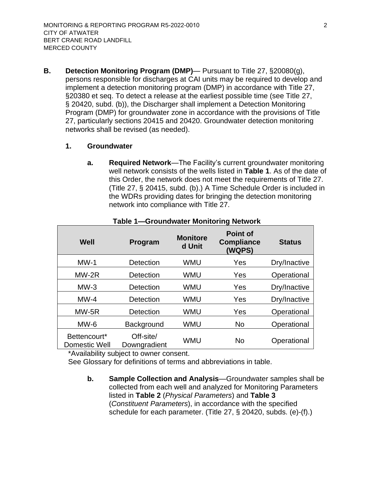<span id="page-11-0"></span>**B. Detection Monitoring Program (DMP)**— Pursuant to Title 27, §20080(g), persons responsible for discharges at CAI units may be required to develop and implement a detection monitoring program (DMP) in accordance with Title 27, §20380 et seq. To detect a release at the earliest possible time (see Title 27, § 20420, subd. (b)), the [Discharger](#page-10-6) shall implement a Detection Monitoring Program (DMP) for groundwater zone in accordance with the provisions of Title 27, particularly sections 20415 and 20420. Groundwater detection monitoring networks shall be revised (as needed).

#### <span id="page-11-2"></span><span id="page-11-1"></span>**1. Groundwater**

**a. Required Network**—The Facility's current groundwater monitoring well network consists of the wells listed in **[Table 1](#page-11-4)**. As of the date of this Order, the network does not meet the requirements of Title 27. (Title 27, § 20415, subd. (b).) A Time Schedule Order is included in the WDRs providing dates for bringing the detection monitoring network into compliance with Title 27.

<span id="page-11-4"></span>

| Well                          | Program                   | <b>Monitore</b><br>d Unit | <b>Point of</b><br><b>Compliance</b><br>(WQPS) | <b>Status</b> |
|-------------------------------|---------------------------|---------------------------|------------------------------------------------|---------------|
| $MW-1$                        | Detection                 | <b>WMU</b>                | Yes                                            | Dry/Inactive  |
| $MW-2R$                       | Detection                 | WMU                       | Yes                                            | Operational   |
| $MW-3$                        | Detection                 | WMU                       | Yes                                            | Dry/Inactive  |
| $MW-4$                        | Detection                 | WMU                       | Yes                                            | Dry/Inactive  |
| MW-5R                         | Detection                 | WMU                       | Yes                                            | Operational   |
| $MW-6$                        | Background                | WMU                       | <b>No</b>                                      | Operational   |
| Bettencourt*<br>Domestic Well | Off-site/<br>Downgradient | <b>WMU</b>                | <b>No</b>                                      | Operational   |

#### **Table 1—Groundwater Monitoring Network**

\*Availability subject to owner consent.

<span id="page-11-3"></span>See Glossary for definitions of terms and abbreviations in table.

**b. Sample Collection and Analysis**—Groundwater samples shall be collected from each well and analyzed for Monitoring Parameters listed in **[Table 2](#page-12-1)** (*Physical Parameters*) and **Table 3** (*Constituent Parameters*), in accordance with the specified schedule for each parameter. (Title 27, § 20420, subds. (e)-(f).)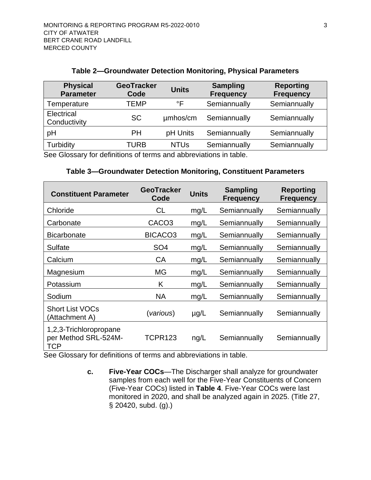#### **Table 2—Groundwater Detection Monitoring, Physical Parameters**

<span id="page-12-1"></span>

| <b>Physical</b><br><b>Parameter</b> | <b>GeoTracker</b><br>Code | <b>Units</b> | <b>Sampling</b><br><b>Frequency</b> | <b>Reporting</b><br><b>Frequency</b> |
|-------------------------------------|---------------------------|--------------|-------------------------------------|--------------------------------------|
| Temperature                         | <b>TEMP</b>               | °F           | Semiannually                        | Semiannually                         |
| Electrical<br>Conductivity          | <b>SC</b>                 | umhos/cm     | Semiannually                        | Semiannually                         |
| pH                                  | PH                        | pH Units     | Semiannually                        | Semiannually                         |
| Turbidity                           | <b>TURB</b>               | <b>NTUs</b>  | Semiannually                        | Semiannually                         |

<span id="page-12-2"></span>See Glossary for definitions of terms and abbreviations in table.

#### **Table 3—Groundwater Detection Monitoring, Constituent Parameters**

| <b>Constituent Parameter</b>                                 | <b>GeoTracker</b><br>Code | <b>Units</b> | <b>Sampling</b><br><b>Frequency</b> | Reporting<br><b>Frequency</b> |
|--------------------------------------------------------------|---------------------------|--------------|-------------------------------------|-------------------------------|
| Chloride                                                     | <b>CL</b>                 | mg/L         | Semiannually                        | Semiannually                  |
| Carbonate                                                    | CACO <sub>3</sub>         | mg/L         | Semiannually                        | Semiannually                  |
| <b>Bicarbonate</b>                                           | BICACO <sub>3</sub>       | mg/L         | Semiannually                        | Semiannually                  |
| Sulfate                                                      | SO <sub>4</sub>           | mg/L         | Semiannually                        | Semiannually                  |
| Calcium                                                      | CA                        | mg/L         | Semiannually                        | Semiannually                  |
| Magnesium                                                    | MG                        | mg/L         | Semiannually                        | Semiannually                  |
| Potassium                                                    | K                         | mg/L         | Semiannually                        | Semiannually                  |
| Sodium                                                       | <b>NA</b>                 | mg/L         | Semiannually                        | Semiannually                  |
| <b>Short List VOCs</b><br>(Attachment A)                     | (various)                 | $\mu$ g/L    | Semiannually                        | Semiannually                  |
| 1,2,3-Trichloropropane<br>per Method SRL-524M-<br><b>TCP</b> | TCPR123                   | nq/L         | Semiannually                        | Semiannually                  |

<span id="page-12-0"></span>See Glossary for definitions of terms and abbreviations in table.

**c. Five-Year COCs**—The [Discharger](#page-10-6) shall analyze for groundwater samples from each well for the Five-Year Constituents of Concern (Five-Year COCs) listed in **[Table 4](#page-13-2)**. Five-Year COCs were last monitored in 2020, and shall be analyzed again in 2025. (Title 27, § 20420, subd. (g).)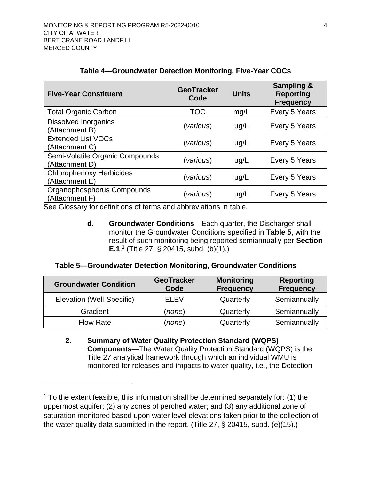<span id="page-13-2"></span>

| <b>Five-Year Constituent</b>                                                                                    | <b>GeoTracker</b><br>Code | <b>Units</b> | <b>Sampling &amp;</b><br><b>Reporting</b><br><b>Frequency</b> |
|-----------------------------------------------------------------------------------------------------------------|---------------------------|--------------|---------------------------------------------------------------|
| <b>Total Organic Carbon</b>                                                                                     | <b>TOC</b>                | mg/L         | Every 5 Years                                                 |
| <b>Dissolved Inorganics</b><br>(Attachment B)                                                                   | (various)                 | $\mu$ g/L    | Every 5 Years                                                 |
| <b>Extended List VOCs</b><br>(Attachment C)                                                                     | (various)                 | $\mu$ g/L    | Every 5 Years                                                 |
| Semi-Volatile Organic Compounds<br>(Attachment D)                                                               | (various)                 | $\mu$ g/L    | Every 5 Years                                                 |
| <b>Chlorophenoxy Herbicides</b><br>(Attachment E)                                                               | (various)                 | $\mu$ g/L    | Every 5 Years                                                 |
| Organophosphorus Compounds<br>(Attachment F)<br>Cae Clossom ter definitions of terms and obbroviations in table | (various)                 | $\mu$ g/L    | Every 5 Years                                                 |

#### **Table 4—Groundwater Detection Monitoring, Five-Year COCs**

<span id="page-13-0"></span>See Glossary for definitions of terms and abbreviations in table.

**d. Groundwater Conditions**—Each quarter, the [Discharger](#page-10-6) shall monitor the Groundwater Conditions specified in **[Table 5](#page-13-3)**, with the result of such monitoring being reported semiannually per **Section [E.1](#page-20-1)**.<sup>1</sup> (Title 27, § 20415, subd. (b)(1).)

#### <span id="page-13-3"></span>**Table 5—Groundwater Detection Monitoring, Groundwater Conditions**

| <b>Groundwater Condition</b> | <b>GeoTracker</b><br>Code | <b>Monitoring</b><br><b>Frequency</b> | <b>Reporting</b><br><b>Frequency</b> |
|------------------------------|---------------------------|---------------------------------------|--------------------------------------|
| Elevation (Well-Specific)    | ELEV                      | Quarterly                             | Semiannually                         |
| Gradient                     | (none)                    | Quarterly                             | Semiannually                         |
| <b>Flow Rate</b>             | (none)                    | Quarterly                             | Semiannually                         |

<span id="page-13-1"></span>**2. Summary of Water Quality Protection Standard (WQPS) Components**—The Water Quality Protection Standard (WQPS) is the Title 27 analytical framework through which an individual WMU is monitored for releases and impacts to water quality, i.e., the Detection

 $1$  To the extent feasible, this information shall be determined separately for: (1) the uppermost aquifer; (2) any zones of perched water; and (3) any additional zone of saturation monitored based upon water level elevations taken prior to the collection of the water quality data submitted in the report. (Title 27, § 20415, subd. (e)(15).)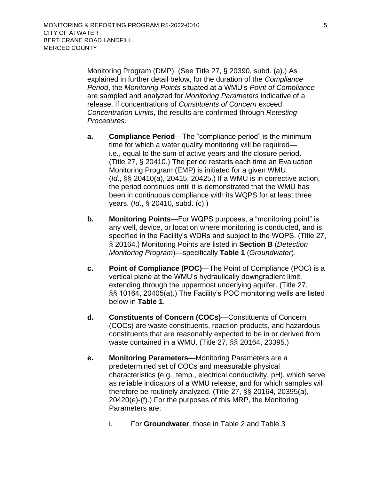Monitoring Program (DMP). (See Title 27, § 20390, subd. (a).) As explained in further detail below, for the duration of the *Compliance Period*, the *Monitoring Points* situated at a WMU's *Point of Compliance* are sampled and analyzed for *Monitoring Parameters* indicative of a release. If concentrations of *Constituents of Concern* exceed *Concentration Limits*, the results are confirmed through *Retesting Procedures*.

- <span id="page-14-0"></span>**a. Compliance Period**—The "compliance period" is the minimum time for which a water quality monitoring will be required i.e., equal to the sum of active years and the closure period. (Title 27, § 20410.) The period restarts each time an Evaluation Monitoring Program (EMP) is initiated for a given WMU. (*Id*., §§ 20410(a), 20415, 20425.) If a WMU is in corrective action, the period continues until it is demonstrated that the WMU has been in continuous compliance with its WQPS for at least three years. (*Id*., § 20410, subd. (c).)
- <span id="page-14-1"></span>**b. Monitoring Points**—For WQPS purposes, a "monitoring point" is any well, device, or location where monitoring is conducted, and is specified in the Facility's WDRs and subject to the WQPS. (Title 27, § 20164.) Monitoring Points are listed in **Section [B](#page-11-0)** (*Detection Monitoring Program*)—specifically **[Table 1](#page-11-4)** (*Groundwater*).
- <span id="page-14-2"></span>**c. Point of Compliance (POC)**—The Point of Compliance (POC) is a vertical plane at the WMU's hydraulically downgradient limit, extending through the uppermost underlying aquifer. (Title 27, §§ 10164, 20405(a).) The Facility's POC monitoring wells are listed below in **[Table 1](#page-11-4)**.
- <span id="page-14-3"></span>**d. Constituents of Concern (COCs)**—Constituents of Concern (COCs) are waste constituents, reaction products, and hazardous constituents that are reasonably expected to be in or derived from waste contained in a WMU. (Title 27, §§ 20164, 20395.)
- <span id="page-14-4"></span>**e. Monitoring Parameters**—Monitoring Parameters are a predetermined set of COCs and measurable physical characteristics (e.g., temp., electrical conductivity, pH), which serve as reliable indicators of a WMU release, and for which samples will therefore be routinely analyzed. (Title 27, §§ 20164, 20395(a), 20420(e)-(f).) For the purposes of this MRP, the Monitoring Parameters are:
	- i. For **Groundwater**, those in [Table 2](#page-12-1) and Table 3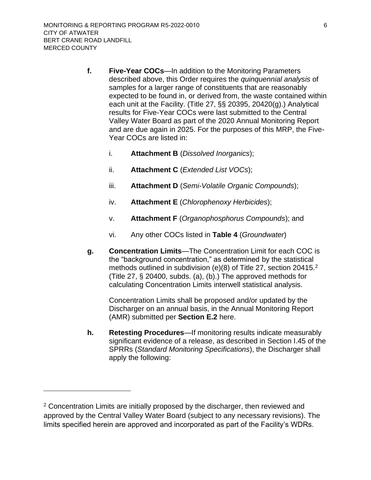- <span id="page-15-0"></span>**f. Five-Year COCs**—In addition to the Monitoring Parameters described above, this Order requires the *quinquennial analysis* of samples for a larger range of constituents that are reasonably expected to be found in, or derived from, the waste contained within each unit at the Facility. (Title 27, §§ 20395, 20420(g).) Analytical results for Five-Year COCs were last submitted to the Central Valley Water Board as part of the 2020 Annual Monitoring Report and are due again in 2025. For the purposes of this MRP, the Five-Year COCs are listed in:
	- i. **Attachment B** (*Dissolved Inorganics*);
	- ii. **Attachment C** (*Extended List VOCs*);
	- iii. **Attachment D** (*Semi-Volatile Organic Compounds*);
	- iv. **Attachment E** (*Chlorophenoxy Herbicides*);
	- v. **Attachment F** (*Organophosphorus Compounds*); and
	- vi. Any other COCs listed in **[Table 4](#page-13-2)** (*Groundwater*)
- <span id="page-15-1"></span>**g. Concentration Limits**—The Concentration Limit for each COC is the "background concentration," as determined by the statistical methods outlined in subdivision (e)(8) of Title 27, section 20415.<sup>2</sup> (Title 27, § 20400, subds. (a), (b).) The approved methods for calculating Concentration Limits interwell statistical analysis.

Concentration Limits shall be proposed and/or updated by the [Discharger](#page-10-6) on an annual basis, in the Annual Monitoring Report (AMR) submitted per **Section [E.2](#page-22-0)** here.

<span id="page-15-2"></span>**h. Retesting Procedures**—If monitoring results indicate measurably significant evidence of a release, as described in Section I.45 of the SPRRs (*Standard Monitoring Specifications*), the [Discharger](#page-10-6) shall apply the following:

<sup>&</sup>lt;sup>2</sup> Concentration Limits are initially proposed by the discharger, then reviewed and approved by the Central Valley Water Board (subject to any necessary revisions). The limits specified herein are approved and incorporated as part of the Facility's WDRs.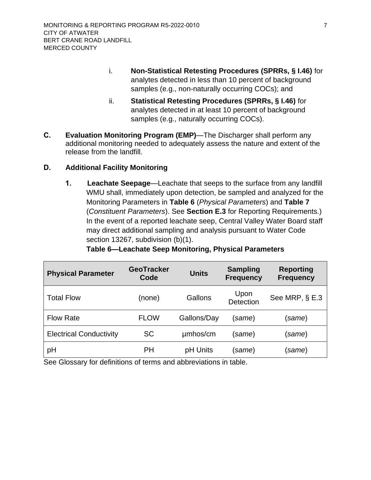- i. **Non-Statistical Retesting Procedures (SPRRs, § I.46)** for analytes detected in less than 10 percent of background samples (e.g., non-naturally occurring COCs); and
- ii. **Statistical Retesting Procedures (SPRRs, § I.46)** for analytes detected in at least 10 percent of background samples (e.g., naturally occurring COCs).
- <span id="page-16-0"></span>**C. Evaluation Monitoring Program (EMP)**—The [Discharger](#page-10-6) shall perform any additional monitoring needed to adequately assess the nature and extent of the release from the landfill.

## <span id="page-16-2"></span><span id="page-16-1"></span>**D. Additional Facility Monitoring**

**1. Leachate Seepage**—Leachate that seeps to the surface from any landfill WMU shall, immediately upon detection, be sampled and analyzed for the Monitoring Parameters in **[Table 6](#page-16-3)** (*Physical Parameters*) and **[Table 7](#page-17-0)** (*Constituent Parameters*). See **Section [E.3](#page-23-0)** for Reporting Requirements.) In the event of a reported leachate seep, Central Valley Water Board staff may direct additional sampling and analysis pursuant to Water Code section 13267, subdivision (b)(1).

<span id="page-16-3"></span>

| <b>Physical Parameter</b>      | <b>GeoTracker</b><br>Code | <b>Units</b> | <b>Sampling</b><br><b>Frequency</b> | <b>Reporting</b><br><b>Frequency</b> |
|--------------------------------|---------------------------|--------------|-------------------------------------|--------------------------------------|
| <b>Total Flow</b>              | (none)                    | Gallons      | Upon<br><b>Detection</b>            | See MRP, § E.3                       |
| <b>Flow Rate</b>               | <b>FLOW</b>               | Gallons/Day  | (same)                              | same)                                |
| <b>Electrical Conductivity</b> | <b>SC</b>                 | umhos/cm     | (same)                              | same)                                |
| рH                             | PH                        | pH Units     | (same)                              | (same)                               |

## **Table 6—Leachate Seep Monitoring, Physical Parameters**

See Glossary for definitions of terms and abbreviations in table.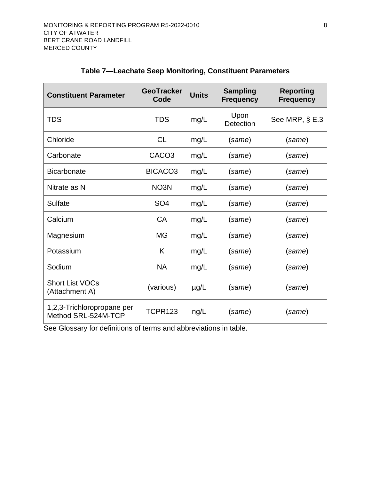<span id="page-17-0"></span>

| <b>Constituent Parameter</b>                      | <b>GeoTracker</b><br>Code | <b>Units</b> | <b>Sampling</b><br><b>Frequency</b> | <b>Reporting</b><br><b>Frequency</b> |
|---------------------------------------------------|---------------------------|--------------|-------------------------------------|--------------------------------------|
| <b>TDS</b>                                        | <b>TDS</b>                | mg/L         | Upon<br>Detection                   | See MRP, § E.3                       |
| Chloride                                          | <b>CL</b>                 | mg/L         | (same)                              | (same)                               |
| Carbonate                                         | CACO <sub>3</sub>         | mg/L         | (same)                              | (same)                               |
| <b>Bicarbonate</b>                                | BICACO <sub>3</sub>       | mg/L         | (same)                              | (same)                               |
| Nitrate as N                                      | NO <sub>3</sub> N         | mg/L         | (same)                              | (same)                               |
| Sulfate                                           | SO <sub>4</sub>           | mg/L         | (same)                              | (same)                               |
| Calcium                                           | <b>CA</b>                 | mg/L         | (same)                              | (same)                               |
| Magnesium                                         | <b>MG</b>                 | mg/L         | (same)                              | (same)                               |
| Potassium                                         | K                         | mg/L         | (same)                              | (same)                               |
| Sodium                                            | <b>NA</b>                 | mg/L         | (same)                              | (same)                               |
| <b>Short List VOCs</b><br>(Attachment A)          | (various)                 | $\mu$ g/L    | (same)                              | (same)                               |
| 1,2,3-Trichloropropane per<br>Method SRL-524M-TCP | <b>TCPR123</b>            | ng/L         | (same)                              | (same)                               |

## **Table 7—Leachate Seep Monitoring, Constituent Parameters**

See Glossary for definitions of terms and abbreviations in table.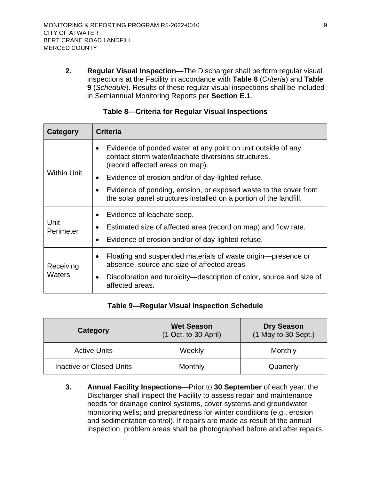<span id="page-18-0"></span>**2. Regular Visual Inspection**—The [Discharger](#page-10-6) shall perform regular visual inspections at the Facility in accordance with **[Table 8](#page-18-2)** (*Criteria*) and **[Table](#page-18-3) [9](#page-18-3)** (*Schedule*). Results of these regular visual inspections shall be included in Semiannual Monitoring Reports per **Section [E.1](#page-20-1)**.

<span id="page-18-2"></span>

| Category            | <b>Criteria</b>                                                                                                                                        |
|---------------------|--------------------------------------------------------------------------------------------------------------------------------------------------------|
| <b>Within Unit</b>  | Evidence of ponded water at any point on unit outside of any<br>contact storm water/leachate diversions structures.<br>(record affected areas on map). |
|                     | Evidence of erosion and/or of day-lighted refuse.<br>$\bullet$                                                                                         |
|                     | Evidence of ponding, erosion, or exposed waste to the cover from<br>the solar panel structures installed on a portion of the landfill.                 |
| Unit<br>Perimeter   | Evidence of leachate seep.<br>Estimated size of affected area (record on map) and flow rate.<br>Evidence of erosion and/or of day-lighted refuse.      |
| Receiving<br>Waters | Floating and suspended materials of waste origin—presence or<br>absence, source and size of affected areas.                                            |
|                     | Discoloration and turbidity—description of color, source and size of<br>$\bullet$<br>affected areas.                                                   |

#### **Table 8—Criteria for Regular Visual Inspections**

#### **Table 9—Regular Visual Inspection Schedule**

<span id="page-18-3"></span>

| Category                        | <b>Wet Season</b><br>(1 Oct. to 30 April) | <b>Dry Season</b><br>(1 May to 30 Sept.) |
|---------------------------------|-------------------------------------------|------------------------------------------|
| <b>Active Units</b>             | Weekly                                    | Monthly                                  |
| <b>Inactive or Closed Units</b> | Monthly                                   | Quarterly                                |

<span id="page-18-1"></span>**3. Annual Facility Inspections**—Prior to **30 September** of each year, the [Discharger](#page-10-6) shall inspect the Facility to assess repair and maintenance needs for drainage control systems, cover systems and groundwater monitoring wells; and preparedness for winter conditions (e.g., erosion and sedimentation control). If repairs are made as result of the annual inspection, problem areas shall be photographed before and after repairs.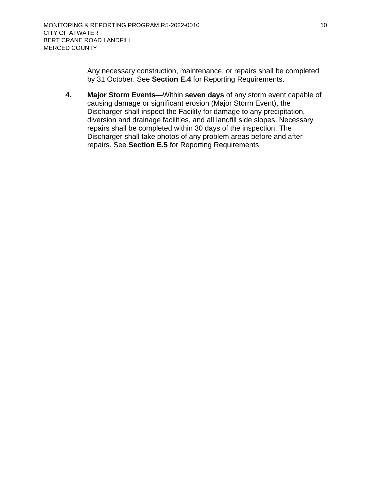Any necessary construction, maintenance, or repairs shall be completed by 31 October. See **Section [E.4](#page-23-1)** for Reporting Requirements.

<span id="page-19-0"></span>**4. Major Storm Events**—Within **seven days** of any storm event capable of causing damage or significant erosion (Major Storm Event), the [Discharger](#page-10-6) shall inspect the Facility for damage to any precipitation, diversion and drainage facilities, and all landfill side slopes. Necessary repairs shall be completed within 30 days of the inspection. The [Discharger](#page-10-6) shall take photos of any problem areas before and after repairs. See **Section [E.5](#page-23-2)** for Reporting Requirements.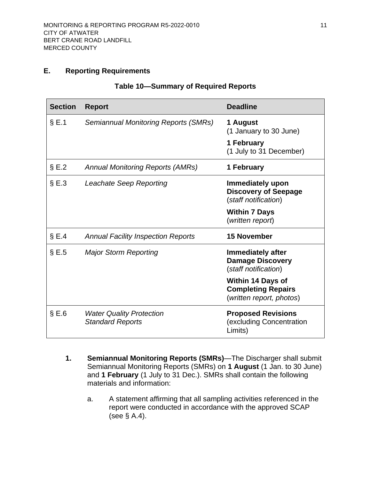## <span id="page-20-2"></span><span id="page-20-0"></span>**E. Reporting Requirements**

|  | Table 10—Summary of Required Reports |
|--|--------------------------------------|
|--|--------------------------------------|

| <b>Section</b> | <b>Report</b>                                              | <b>Deadline</b>                                                                   |
|----------------|------------------------------------------------------------|-----------------------------------------------------------------------------------|
| $\S E.1$       | Semiannual Monitoring Reports (SMRs)                       | 1 August<br>(1 January to 30 June)                                                |
|                |                                                            | 1 February<br>(1 July to 31 December)                                             |
| $\S E.2$       | <b>Annual Monitoring Reports (AMRs)</b>                    | 1 February                                                                        |
| $\S E.3$       | Leachate Seep Reporting                                    | Immediately upon<br><b>Discovery of Seepage</b><br>(staff notification)           |
|                |                                                            | <b>Within 7 Days</b><br>(written report)                                          |
| $\S E.4$       | <b>Annual Facility Inspection Reports</b>                  | <b>15 November</b>                                                                |
| $\S E.5$       | <b>Major Storm Reporting</b>                               | <b>Immediately after</b><br><b>Damage Discovery</b><br>(staff notification)       |
|                |                                                            | <b>Within 14 Days of</b><br><b>Completing Repairs</b><br>(written report, photos) |
| $\S E.6$       | <b>Water Quality Protection</b><br><b>Standard Reports</b> | <b>Proposed Revisions</b><br>(excluding Concentration<br>Limits)                  |

- <span id="page-20-1"></span>**1. Semiannual Monitoring Reports (SMRs)**—The [Discharger](#page-10-6) shall submit Semiannual Monitoring Reports (SMRs) on **1 August** (1 Jan. to 30 June) and **1 February** (1 July to 31 Dec.). SMRs shall contain the following materials and information:
	- a. A statement affirming that all sampling activities referenced in the report were conducted in accordance with the approved SCAP (see § [A.4\)](#page-10-5).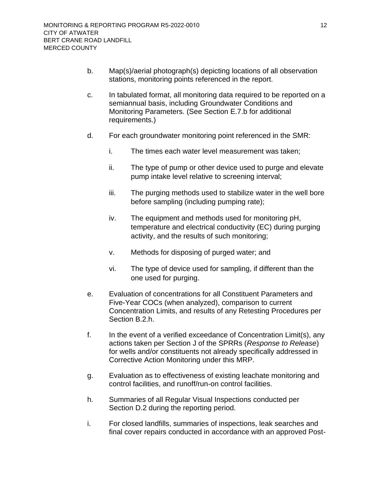- b. Map(s)/aerial photograph(s) depicting locations of all observation stations, monitoring points referenced in the report.
- c. In tabulated format, all monitoring data required to be reported on a semiannual basis, including Groundwater Conditions and Monitoring Parameters. (See Section [E.7.b](#page-25-2) for additional requirements.)
- d. For each groundwater monitoring point referenced in the SMR:
	- i. The times each water level measurement was taken;
	- ii. The type of pump or other device used to purge and elevate pump intake level relative to screening interval;
	- iii. The purging methods used to stabilize water in the well bore before sampling (including pumping rate);
	- iv. The equipment and methods used for monitoring pH, temperature and electrical conductivity (EC) during purging activity, and the results of such monitoring;
	- v. Methods for disposing of purged water; and
	- vi. The type of device used for sampling, if different than the one used for purging.
- e. Evaluation of concentrations for all Constituent Parameters and Five-Year COCs (when analyzed), comparison to current Concentration Limits, and results of any Retesting Procedures per Section [B.2.h.](#page-15-2)
- f. In the event of a verified exceedance of Concentration Limit(s), any actions taken per Section J of the SPRRs (*Response to Release*) for wells and/or constituents not already specifically addressed in Corrective Action Monitoring under this MRP.
- g. Evaluation as to effectiveness of existing leachate monitoring and control facilities, and runoff/run-on control facilities.
- h. Summaries of all Regular Visual Inspections conducted per Section [D.2](#page-18-0) during the reporting period.
- i. For closed landfills, summaries of inspections, leak searches and final cover repairs conducted in accordance with an approved Post-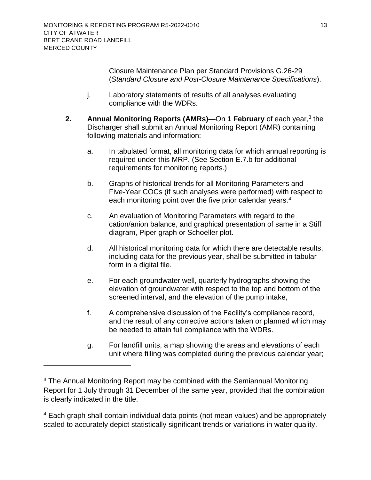Closure Maintenance Plan per Standard Provisions G.26-29 (*Standard Closure and Post-Closure Maintenance Specifications*).

- j. Laboratory statements of results of all analyses evaluating compliance with the WDRs.
- <span id="page-22-0"></span>**2.** Annual Monitoring Reports (AMRs)—On 1 February of each year,<sup>3</sup> the [Discharger](#page-10-6) shall submit an Annual Monitoring Report (AMR) containing following materials and information:
	- a. In tabulated format, all monitoring data for which annual reporting is required under this MRP. (See Section [E.7.b](#page-25-2) for additional requirements for monitoring reports.)
	- b. Graphs of historical trends for all Monitoring Parameters and Five-Year COCs (if such analyses were performed) with respect to each monitoring point over the five prior calendar years.<sup>4</sup>
	- c. An evaluation of Monitoring Parameters with regard to the cation/anion balance, and graphical presentation of same in a Stiff diagram, Piper graph or Schoeller plot.
	- d. All historical monitoring data for which there are detectable results, including data for the previous year, shall be submitted in tabular form in a digital file.
	- e. For each groundwater well, quarterly hydrographs showing the elevation of groundwater with respect to the top and bottom of the screened interval, and the elevation of the pump intake,
	- f. A comprehensive discussion of the Facility's compliance record, and the result of any corrective actions taken or planned which may be needed to attain full compliance with the WDRs.
	- g. For landfill units, a map showing the areas and elevations of each unit where filling was completed during the previous calendar year;

<sup>4</sup> Each graph shall contain individual data points (not mean values) and be appropriately scaled to accurately depict statistically significant trends or variations in water quality.

<sup>&</sup>lt;sup>3</sup> The Annual Monitoring Report may be combined with the Semiannual Monitoring Report for 1 July through 31 December of the same year, provided that the combination is clearly indicated in the title.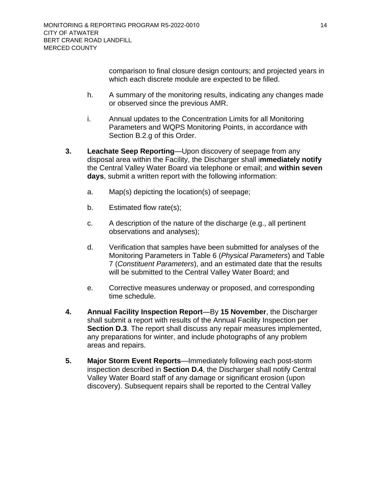comparison to final closure design contours; and projected years in which each discrete module are expected to be filled.

- h. A summary of the monitoring results, indicating any changes made or observed since the previous AMR.
- i. Annual updates to the Concentration Limits for all Monitoring Parameters and WQPS Monitoring Points, in accordance with Section [B.2.g](#page-15-1) of this Order.
- <span id="page-23-0"></span>**3. Leachate Seep Reporting**—Upon discovery of seepage from any disposal area within the Facility, the [Discharger](#page-10-6) shall i**mmediately notify** the Central Valley Water Board via telephone or email; and **within seven days**, submit a written report with the following information:
	- a. Map(s) depicting the location(s) of seepage;
	- b. Estimated flow rate(s);
	- c. A description of the nature of the discharge (e.g., all pertinent observations and analyses);
	- d. Verification that samples have been submitted for analyses of the Monitoring Parameters in [Table 6](#page-16-3) (*Physical Parameters*) and [Table](#page-17-0) [7](#page-17-0) (*Constituent Parameters*), and an estimated date that the results will be submitted to the Central Valley Water Board; and
	- e. Corrective measures underway or proposed, and corresponding time schedule.
- <span id="page-23-1"></span>**4. Annual Facility Inspection Report**—By **15 November**, the [Discharger](#page-10-6) shall submit a report with results of the Annual Facility Inspection per **Section [D.3](#page-18-1)**. The report shall discuss any repair measures implemented, any preparations for winter, and include photographs of any problem areas and repairs.
- <span id="page-23-2"></span>**5. Major Storm Event Reports**—Immediately following each post-storm inspection described in **Section [D.4](#page-19-0)**, the [Discharger](#page-10-6) shall notify Central Valley Water Board staff of any damage or significant erosion (upon discovery). Subsequent repairs shall be reported to the Central Valley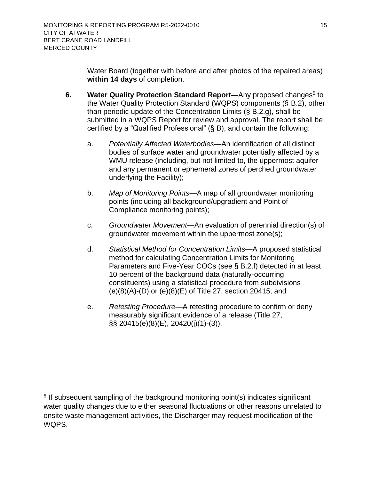Water Board (together with before and after photos of the repaired areas) **within 14 days** of completion.

- <span id="page-24-0"></span>6. Water Quality Protection Standard Report—Any proposed changes<sup>5</sup> to the Water Quality Protection Standard (WQPS) components (§ [B.2\)](#page-13-1), other than periodic update of the Concentration Limits (§ [B.2.g\)](#page-15-1), shall be submitted in a WQPS Report for review and approval. The report shall be certified by a "Qualified Professional" (§ [B\)](#page-11-0), and contain the following:
	- a. *Potentially Affected Waterbodies*—An identification of all distinct bodies of surface water and groundwater potentially affected by a WMU release (including, but not limited to, the uppermost aquifer and any permanent or ephemeral zones of perched groundwater underlying the Facility);
	- b. *Map of Monitoring Points*—A map of all groundwater monitoring points (including all background/upgradient and Point of Compliance monitoring points);
	- c. *Groundwater Movement*—An evaluation of perennial direction(s) of groundwater movement within the uppermost zone(s);
	- d. *Statistical Method for Concentration Limits*—A proposed statistical method for calculating Concentration Limits for Monitoring Parameters and Five-Year COCs (see § [B.2.f\)](#page-15-0) detected in at least 10 percent of the background data (naturally-occurring constituents) using a statistical procedure from subdivisions (e)(8)(A)-(D) or (e)(8)(E) of Title 27, section 20415; and
	- e. *Retesting Procedure*—A retesting procedure to confirm or deny measurably significant evidence of a release (Title 27, §§ 20415(e)(8)(E), 20420(j)(1)-(3)).

<sup>&</sup>lt;sup>5</sup> If subsequent sampling of the background monitoring point(s) indicates significant water quality changes due to either seasonal fluctuations or other reasons unrelated to onsite waste management activities, the Discharger may request modification of the WQPS.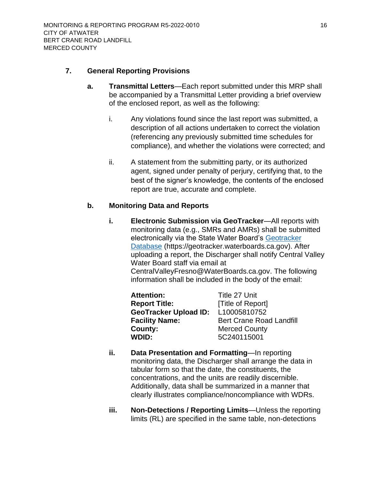#### <span id="page-25-1"></span><span id="page-25-0"></span>**7. General Reporting Provisions**

- **a. Transmittal Letters**—Each report submitted under this MRP shall be accompanied by a Transmittal Letter providing a brief overview of the enclosed report, as well as the following:
	- i. Any violations found since the last report was submitted, a description of all actions undertaken to correct the violation (referencing any previously submitted time schedules for compliance), and whether the violations were corrected; and
	- ii. A statement from the submitting party, or its authorized agent, signed under penalty of perjury, certifying that, to the best of the signer's knowledge, the contents of the enclosed report are true, accurate and complete.

## <span id="page-25-2"></span>**b. Monitoring Data and Reports**

**i. Electronic Submission via GeoTracker**—All reports with monitoring data (e.g., SMRs and AMRs) shall be submitted electronically via the State Water Board's [Geotracker](mailto:https://geotracker.waterboards.ca.gov) [Database](mailto:https://geotracker.waterboards.ca.gov) (https://geotracker.waterboards.ca.gov). After uploading a report, the [Discharger](#page-10-6) shall notify Central Valley Water Board staff via email at CentralValleyFresno@WaterBoards.ca.gov. The following information shall be included in the body of the email:

| <b>Attention:</b>            | Title 27 Unit                   |
|------------------------------|---------------------------------|
| <b>Report Title:</b>         | [Title of Report]               |
| <b>GeoTracker Upload ID:</b> | L10005810752                    |
| <b>Facility Name:</b>        | <b>Bert Crane Road Landfill</b> |
| County:                      | <b>Merced County</b>            |
| <b>WDID:</b>                 | 5C240115001                     |

- **ii. Data Presentation and Formatting**—In reporting monitoring data, the [Discharger](#page-10-6) shall arrange the data in tabular form so that the date, the constituents, the concentrations, and the units are readily discernible. Additionally, data shall be summarized in a manner that clearly illustrates compliance/noncompliance with WDRs.
- **iii. Non-Detections / Reporting Limits**—Unless the reporting limits (RL) are specified in the same table, non-detections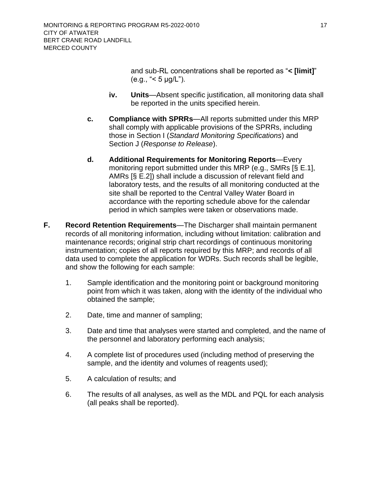and sub-RL concentrations shall be reported as "**< [limit]**" (e.g., "< 5 µg/L").

- **iv. Units**—Absent specific justification, all monitoring data shall be reported in the units specified herein.
- <span id="page-26-0"></span>**c. Compliance with SPRRs**—All reports submitted under this MRP shall comply with applicable provisions of the SPRRs, including those in Section I (*Standard Monitoring Specifications*) and Section J (*Response to Release*).
- <span id="page-26-1"></span>**d. Additional Requirements for Monitoring Reports**—Every monitoring report submitted under this MRP (e.g., SMRs [§ [E.1\]](#page-20-1), AMRs [§ [E.2\]](#page-22-0)) shall include a discussion of relevant field and laboratory tests, and the results of all monitoring conducted at the site shall be reported to the Central Valley Water Board in accordance with the reporting schedule above for the calendar period in which samples were taken or observations made.
- <span id="page-26-2"></span>**F. Record Retention Requirements**—The [Discharger](#page-10-6) shall maintain permanent records of all monitoring information, including without limitation: calibration and maintenance records; original strip chart recordings of continuous monitoring instrumentation; copies of all reports required by this MRP; and records of all data used to complete the application for WDRs. Such records shall be legible, and show the following for each sample:
	- 1. Sample identification and the monitoring point or background monitoring point from which it was taken, along with the identity of the individual who obtained the sample;
	- 2. Date, time and manner of sampling;
	- 3. Date and time that analyses were started and completed, and the name of the personnel and laboratory performing each analysis;
	- 4. A complete list of procedures used (including method of preserving the sample, and the identity and volumes of reagents used);
	- 5. A calculation of results; and
	- 6. The results of all analyses, as well as the MDL and PQL for each analysis (all peaks shall be reported).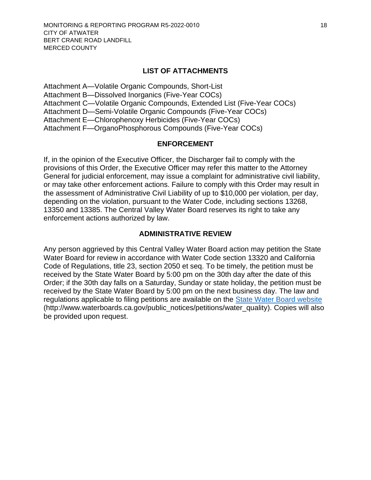#### **LIST OF ATTACHMENTS**

[Attachment A—Volatile Organic Compounds, Short-List](#page-28-0) [Attachment B—Dissolved Inorganics \(Five-Year COCs\)](#page-31-0) [Attachment C—Volatile Organic Compounds, Extended List \(Five-Year COCs\)](#page-32-0) [Attachment D—Semi-Volatile Organic Compounds \(Five-Year COCs\)](#page-35-0) [Attachment E—Chlorophenoxy Herbicides \(Five-Year COCs\)](#page-40-0) [Attachment F—OrganoPhosphorous Compounds \(Five-Year COCs\)](#page-41-0)

#### **ENFORCEMENT**

If, in the opinion of the Executive Officer, the [Discharger](#page-10-6) fail to comply with the provisions of this Order, the Executive Officer may refer this matter to the Attorney General for judicial enforcement, may issue a complaint for administrative civil liability, or may take other enforcement actions. Failure to comply with this Order may result in the assessment of Administrative Civil Liability of up to \$10,000 per violation, per day, depending on the violation, pursuant to the Water Code, including sections 13268, 13350 and 13385. The Central Valley Water Board reserves its right to take any enforcement actions authorized by law.

#### **ADMINISTRATIVE REVIEW**

Any person aggrieved by this Central Valley Water Board action may petition the State Water Board for review in accordance with Water Code section 13320 and California Code of Regulations, title 23, section 2050 et seq. To be timely, the petition must be received by the State Water Board by 5:00 pm on the 30th day after the date of this Order; if the 30th day falls on a Saturday, Sunday or state holiday, the petition must be received by the State Water Board by 5:00 pm on the next business day. The law and regulations applicable to filing petitions are available on the [State Water Board website](http://www.waterboards.ca.gov/public_notices/petitions/water_quality) (http://www.waterboards.ca.gov/public\_notices/petitions/water\_quality). Copies will also be provided upon request.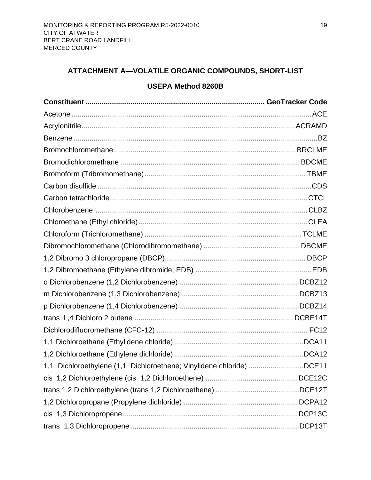## <span id="page-28-0"></span>**ATTACHMENT A—VOLATILE ORGANIC COMPOUNDS, SHORT-LIST**

## **USEPA Method 8260B**

| 1,1 Dichloroethylene (1,1 Dichloroethene; Vinylidene chloride) DCE11 |  |
|----------------------------------------------------------------------|--|
|                                                                      |  |
|                                                                      |  |
|                                                                      |  |
|                                                                      |  |
|                                                                      |  |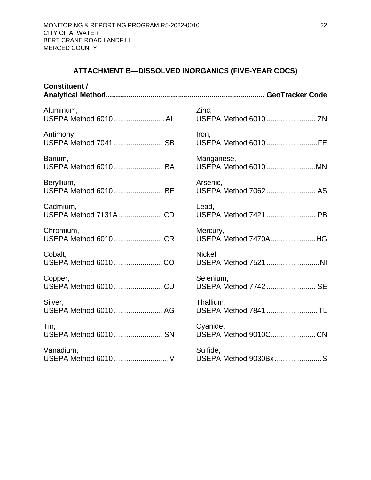## **ATTACHMENT B—DISSOLVED INORGANICS (FIVE-YEAR COCS)**

<span id="page-31-0"></span>

| <b>Constituent /</b>  |                       |
|-----------------------|-----------------------|
| Aluminum,             | Zinc,                 |
| USEPA Method 6010 AL  | USEPA Method 6010  ZN |
| Antimony,             | Iron,                 |
| USEPA Method 7041  SB | USEPA Method 6010 FE  |
| Barium,               | Manganese,            |
| USEPA Method 6010  BA | USEPA Method 6010 MN  |
| Beryllium,            | Arsenic,              |
| USEPA Method 6010  BE | USEPA Method 7062  AS |
| Cadmium,              | Lead,                 |
| USEPA Method 7131ACD  | USEPA Method 7421  PB |
| Chromium,             | Mercury,              |
| USEPA Method 6010 CR  | USEPA Method 7470AHG  |
| Cobalt,               | Nickel,               |
| USEPA Method 6010 CO  | USEPA Method 7521 NI  |
| Copper,               | Selenium,             |
| USEPA Method 6010 CU  | USEPA Method 7742  SE |
| Silver,               | Thallium,             |
| USEPA Method 6010  AG | USEPA Method 7841  TL |
| Tin,                  | Cyanide,              |
| USEPA Method 6010  SN | USEPA Method 9010CCN  |
| Vanadium,             | Sulfide,              |
| USEPA Method 6010  V  | USEPA Method 9030Bx S |
|                       |                       |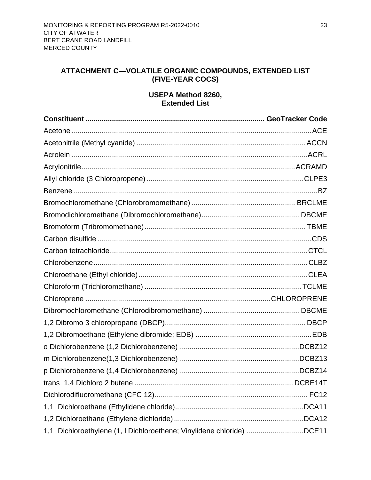## <span id="page-32-0"></span>**ATTACHMENT C—VOLATILE ORGANIC COMPOUNDS, EXTENDED LIST (FIVE-YEAR COCS)**

## **USEPA Method 8260, Extended List**

| 1,1 Dichloroethylene (1, I Dichloroethene; Vinylidene chloride) DCE11 |  |
|-----------------------------------------------------------------------|--|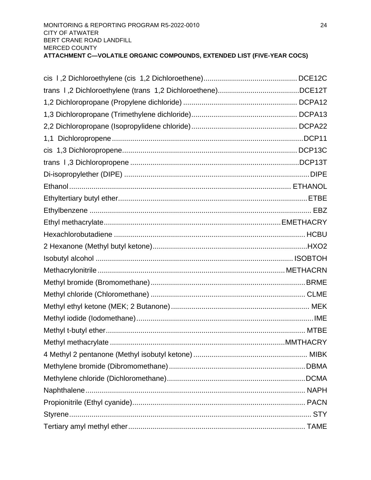| 1,1 |  |
|-----|--|
|     |  |
|     |  |
|     |  |
|     |  |
|     |  |
|     |  |
|     |  |
|     |  |
|     |  |
|     |  |
|     |  |
|     |  |
|     |  |
|     |  |
|     |  |
|     |  |
|     |  |
|     |  |
|     |  |
|     |  |
|     |  |
|     |  |
|     |  |
|     |  |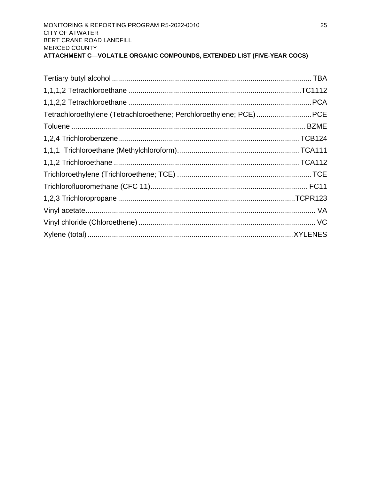| Tetrachloroethylene (Tetrachloroethene; Perchloroethylene; PCE)PCE |  |
|--------------------------------------------------------------------|--|
|                                                                    |  |
|                                                                    |  |
|                                                                    |  |
|                                                                    |  |
|                                                                    |  |
|                                                                    |  |
|                                                                    |  |
|                                                                    |  |
|                                                                    |  |
|                                                                    |  |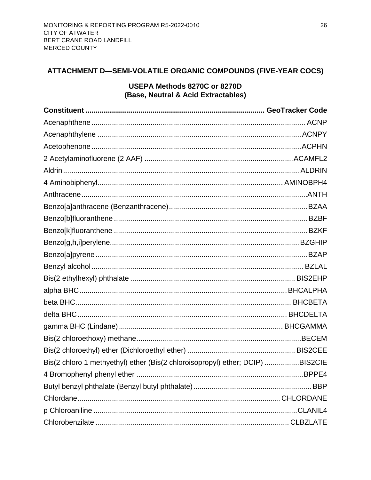## <span id="page-35-0"></span>ATTACHMENT D-SEMI-VOLATILE ORGANIC COMPOUNDS (FIVE-YEAR COCS)

## USEPA Methods 8270C or 8270D (Base, Neutral & Acid Extractables)

| Bis(2 chloro 1 methyethyl) ether (Bis(2 chloroisopropyl) ether; DCIP) BIS2CIE |  |
|-------------------------------------------------------------------------------|--|
|                                                                               |  |
|                                                                               |  |
|                                                                               |  |
|                                                                               |  |
|                                                                               |  |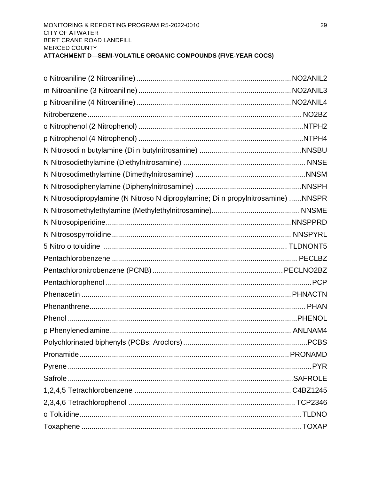| N Nitrosodipropylamine (N Nitroso N dipropylamine; Di n propylnitrosamine) NNSPR |  |
|----------------------------------------------------------------------------------|--|
|                                                                                  |  |
|                                                                                  |  |
|                                                                                  |  |
|                                                                                  |  |
|                                                                                  |  |
|                                                                                  |  |
|                                                                                  |  |
|                                                                                  |  |
|                                                                                  |  |
|                                                                                  |  |
|                                                                                  |  |
|                                                                                  |  |
|                                                                                  |  |
|                                                                                  |  |
|                                                                                  |  |
|                                                                                  |  |
|                                                                                  |  |
|                                                                                  |  |
|                                                                                  |  |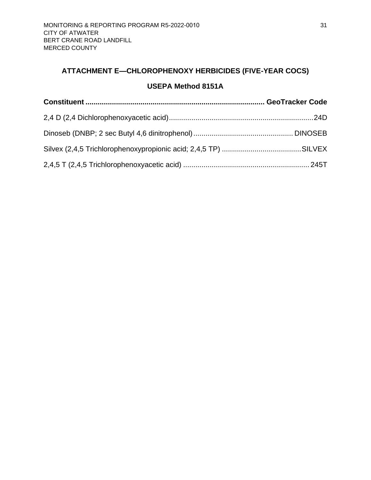## <span id="page-40-0"></span>**ATTACHMENT E—CHLOROPHENOXY HERBICIDES (FIVE-YEAR COCS)**

## **USEPA Method 8151A**